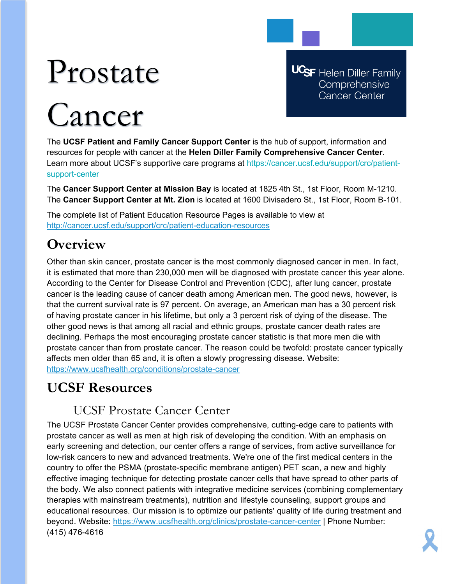# Prostate

# Cancer

**UCSF** Helen Diller Family Comprehensive **Cancer Center** 

The **UCSF Patient and Family Cancer Support Center** is the hub of support, information and resources for people with cancer at the **Helen Diller Family Comprehensive Cancer Center**. Learn more about UCSF's supportive care programs at https://cancer.ucsf.edu/support/crc/patientsupport-center

The **Cancer Support Center at Mission Bay** is located at 1825 4th St., 1st Floor, Room M-1210. The **Cancer Support Center at Mt. Zion** is located at 1600 Divisadero St., 1st Floor, Room B-101.

The complete list of Patient Education Resource Pages is available to view at <http://cancer.ucsf.edu/support/crc/patient-education-resources>

# **Overview**

Other than skin cancer, prostate cancer is the most commonly diagnosed cancer in men. In fact, it is estimated that more than 230,000 men will be diagnosed with prostate cancer this year alone. According to the Center for Disease Control and Prevention (CDC), after lung cancer, prostate cancer is the leading cause of cancer death among American men. The good news, however, is that the current survival rate is 97 percent. On average, an American man has a 30 percent risk of having prostate cancer in his lifetime, but only a 3 percent risk of dying of the disease. The other good news is that among all racial and ethnic groups, prostate cancer death rates are declining. Perhaps the most encouraging prostate cancer statistic is that more men die with prostate cancer than from prostate cancer. The reason could be twofold: prostate cancer typically affects men older than 65 and, it is often a slowly progressing disease. Website: <https://www.ucsfhealth.org/conditions/prostate-cancer>

# **UCSF Resources**

## UCSF Prostate Cancer Center

The UCSF Prostate Cancer Center provides comprehensive, cutting-edge care to patients with prostate cancer as well as men at high risk of developing the condition. With an emphasis on early screening and detection, our center offers a range of services, from active surveillance for low-risk cancers to new and advanced treatments. We're one of the first medical centers in the country to offer the PSMA (prostate-specific membrane antigen) PET scan, a new and highly effective imaging technique for detecting prostate cancer cells that have spread to other parts of the body. We also connect patients with integrative medicine services (combining complementary therapies with mainstream treatments), nutrition and lifestyle counseling, support groups and educational resources. Our mission is to optimize our patients' quality of life during treatment and beyond. Website:<https://www.ucsfhealth.org/clinics/prostate-cancer-center> | Phone Number: (415) 476-4616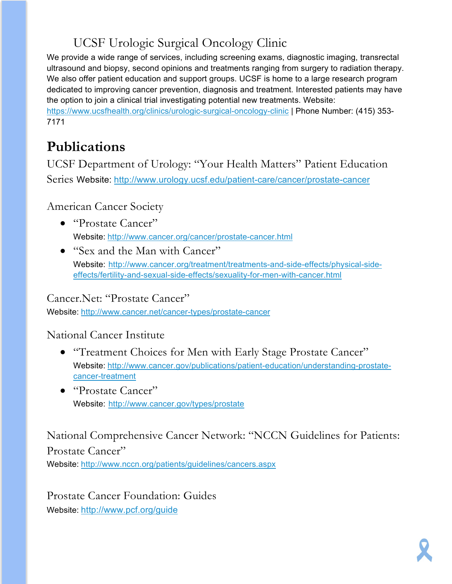# UCSF Urologic Surgical Oncology Clinic

We provide a wide range of services, including screening exams, diagnostic imaging, transrectal ultrasound and biopsy, second opinions and treatments ranging from surgery to radiation therapy. We also offer patient education and support groups. UCSF is home to a large research program dedicated to improving cancer prevention, diagnosis and treatment. Interested patients may have the option to join a clinical trial investigating potential new treatments. Website: <https://www.ucsfhealth.org/clinics/urologic-surgical-oncology-clinic> | Phone Number: (415) 353- 7171

# **Publications**

UCSF Department of Urology: "Your Health Matters" Patient Education Series Website: <http://www.urology.ucsf.edu/patient-care/cancer/prostate-cancer>

American Cancer Society

- "Prostate Cancer" Website: <http://www.cancer.org/cancer/prostate-cancer.html>
- "Sex and the Man with Cancer" Website: [http://www.cancer.org/treatment/treatments-and-side-effects/physical-side](http://www.cancer.org/treatment/treatments-and-side-effects/physical-side-effects/fertility-and-sexual-side-effects/sexuality-for-men-with-cancer.html)[effects/fertility-and-sexual-side-effects/sexuality-for-men-with-cancer.html](http://www.cancer.org/treatment/treatments-and-side-effects/physical-side-effects/fertility-and-sexual-side-effects/sexuality-for-men-with-cancer.html)

Cancer.Net: "Prostate Cancer"

Website: <http://www.cancer.net/cancer-types/prostate-cancer>

National Cancer Institute

- "Treatment Choices for Men with Early Stage Prostate Cancer" Website: [http://www.cancer.gov/publications/patient-education/understanding-prostate](http://www.cancer.gov/publications/patient-education/understanding-prostate-cancer-treatment)[cancer-treatment](http://www.cancer.gov/publications/patient-education/understanding-prostate-cancer-treatment)
- "Prostate Cancer" Website: <http://www.cancer.gov/types/prostate>

National Comprehensive Cancer Network: "NCCN Guidelines for Patients: Prostate Cancer"

Website: <http://www.nccn.org/patients/guidelines/cancers.aspx>

Prostate Cancer Foundation: Guides Website: <http://www.pcf.org/guide>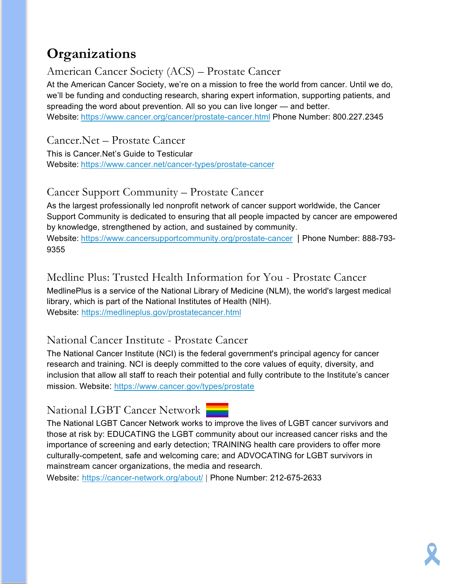# **Organizations**

#### American Cancer Society (ACS) – Prostate Cancer

At the American Cancer Society, we're on a mission to free the world from cancer. Until we do, we'll be funding and conducting research, sharing expert information, supporting patients, and spreading the word about prevention. All so you can live longer — and better. Website: <https://www.cancer.org/cancer/prostate-cancer.html> Phone Number: 800.227.2345

Cancer.Net – Prostate Cancer

This is Cancer.Net's Guide to Testicular Website: <https://www.cancer.net/cancer-types/prostate-cancer>

#### Cancer Support Community – Prostate Cancer

As the largest professionally led nonprofit network of cancer support worldwide, the Cancer Support Community is dedicated to ensuring that all people impacted by cancer are empowered by knowledge, strengthened by action, and sustained by community.

Website: <https://www.cancersupportcommunity.org/prostate-cancer> | Phone Number: 888-793-9355

#### Medline Plus: Trusted Health Information for You - Prostate Cancer

MedlinePlus is a service of the National Library of Medicine (NLM), the world's largest medical library, which is part of the National Institutes of Health (NIH). Website: <https://medlineplus.gov/prostatecancer.html>

#### National Cancer Institute - Prostate Cancer

The National Cancer Institute (NCI) is the federal government's principal agency for cancer research and training. NCI is deeply committed to the core values of equity, diversity, and inclusion that allow all staff to reach their potential and fully contribute to the Institute's cancer mission. Website:<https://www.cancer.gov/types/prostate>

#### National LGBT Cancer Network



The National LGBT Cancer Network works to improve the lives of LGBT cancer survivors and those at risk by: EDUCATING the LGBT community about our increased cancer risks and the importance of screening and early detection; TRAINING health care providers to offer more culturally-competent, safe and welcoming care; and ADVOCATING for LGBT survivors in mainstream cancer organizations, the media and research.

Website: <https://cancer-network.org/about/> | Phone Number: 212-675-2633